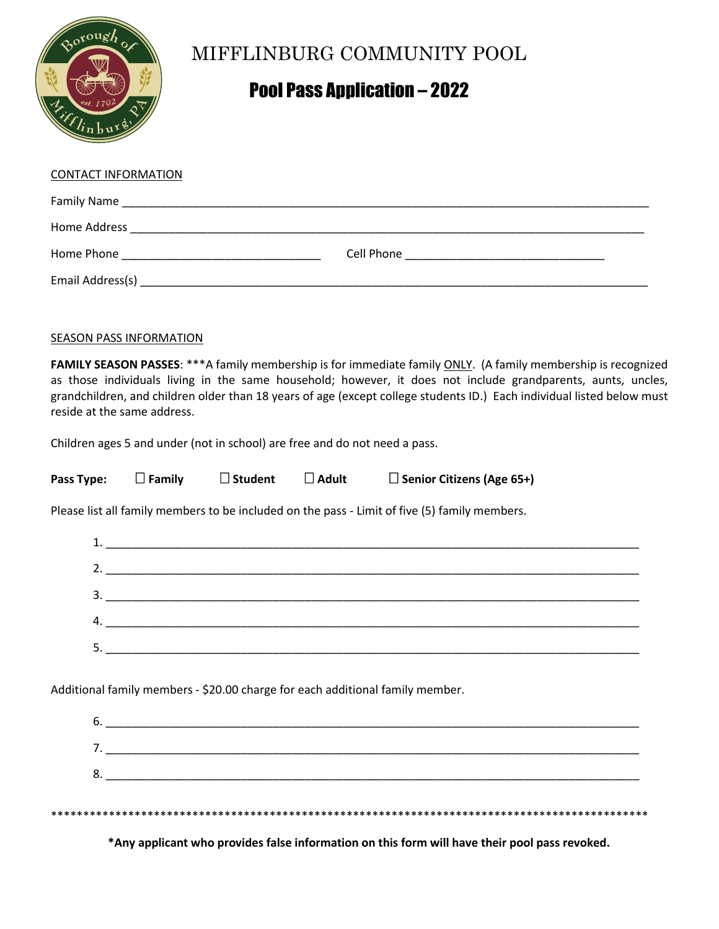

# MIFFLINBURG COMMUNITY POOL

# Pool Pass Application – 2022

| <b>CONTACT INFORMATION</b> |                                                                                                                |
|----------------------------|----------------------------------------------------------------------------------------------------------------|
|                            |                                                                                                                |
|                            |                                                                                                                |
| Home Phone <b>Manual</b>   | Cell Phone 2008 2009 2010 2021 2022 2023 2024 2022 2022 2023 2024 2022 2023 2024 2022 2023 2024 2025 2026 2027 |
|                            |                                                                                                                |

## **SEASON PASS INFORMATION**

**FAMILY SEASON PASSES**: \*\*\*A family membership is for immediate family ONLY. (A family membership is recognized as those individuals living in the same household; however, it does not include grandparents, aunts, uncles, grandchildren, and children older than 18 years of age (except college students ID.) Each individual listed below must reside at the same address.

Children ages 5 and under (not in school) are free and do not need a pass.

| Pass Type: | Family | $\Box$ Student | $\square$ Adult | □ Senior Citizens (Age 65+) |
|------------|--------|----------------|-----------------|-----------------------------|
|            |        |                |                 |                             |

Please list all family members to be included on the pass - Limit of five (5) family members.

| 3. |  |
|----|--|
|    |  |
|    |  |
|    |  |

Additional family members - \$20.00 charge for each additional family member.

**\*Any applicant who provides false information on this form will have their pool pass revoked.**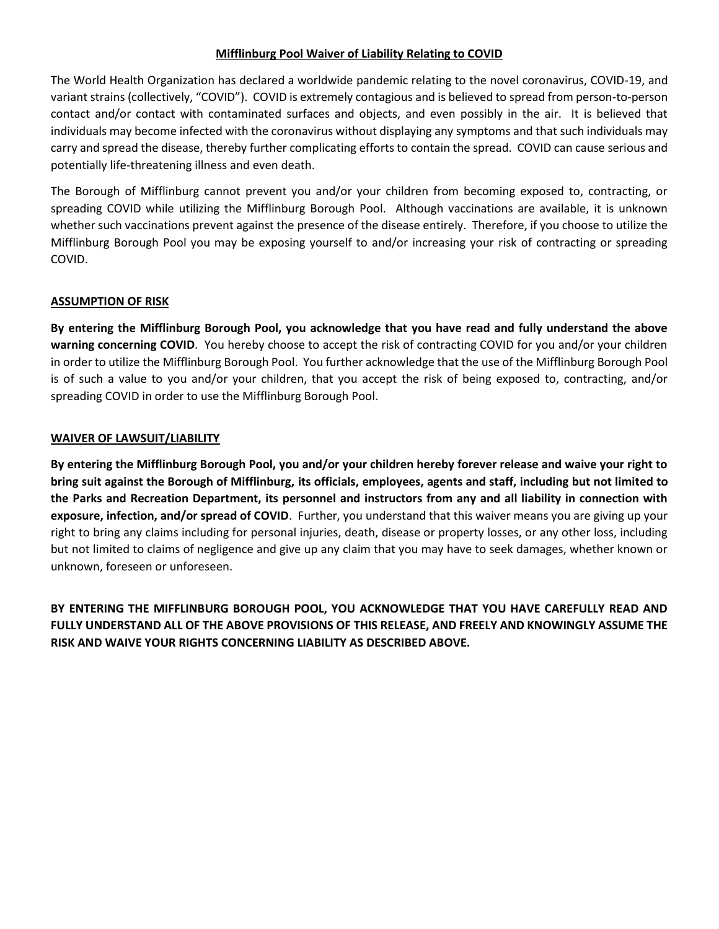## **Mifflinburg Pool Waiver of Liability Relating to COVID**

The World Health Organization has declared a worldwide pandemic relating to the novel coronavirus, COVID-19, and variant strains (collectively, "COVID"). COVID is extremely contagious and is believed to spread from person-to-person contact and/or contact with contaminated surfaces and objects, and even possibly in the air. It is believed that individuals may become infected with the coronavirus without displaying any symptoms and that such individuals may carry and spread the disease, thereby further complicating efforts to contain the spread. COVID can cause serious and potentially life-threatening illness and even death.

The Borough of Mifflinburg cannot prevent you and/or your children from becoming exposed to, contracting, or spreading COVID while utilizing the Mifflinburg Borough Pool. Although vaccinations are available, it is unknown whether such vaccinations prevent against the presence of the disease entirely. Therefore, if you choose to utilize the Mifflinburg Borough Pool you may be exposing yourself to and/or increasing your risk of contracting or spreading COVID.

#### **ASSUMPTION OF RISK**

**By entering the Mifflinburg Borough Pool, you acknowledge that you have read and fully understand the above warning concerning COVID**. You hereby choose to accept the risk of contracting COVID for you and/or your children in order to utilize the Mifflinburg Borough Pool. You further acknowledge that the use of the Mifflinburg Borough Pool is of such a value to you and/or your children, that you accept the risk of being exposed to, contracting, and/or spreading COVID in order to use the Mifflinburg Borough Pool.

## **WAIVER OF LAWSUIT/LIABILITY**

**By entering the Mifflinburg Borough Pool, you and/or your children hereby forever release and waive your right to bring suit against the Borough of Mifflinburg, its officials, employees, agents and staff, including but not limited to the Parks and Recreation Department, its personnel and instructors from any and all liability in connection with exposure, infection, and/or spread of COVID**. Further, you understand that this waiver means you are giving up your right to bring any claims including for personal injuries, death, disease or property losses, or any other loss, including but not limited to claims of negligence and give up any claim that you may have to seek damages, whether known or unknown, foreseen or unforeseen.

**BY ENTERING THE MIFFLINBURG BOROUGH POOL, YOU ACKNOWLEDGE THAT YOU HAVE CAREFULLY READ AND FULLY UNDERSTAND ALL OF THE ABOVE PROVISIONS OF THIS RELEASE, AND FREELY AND KNOWINGLY ASSUME THE RISK AND WAIVE YOUR RIGHTS CONCERNING LIABILITY AS DESCRIBED ABOVE.**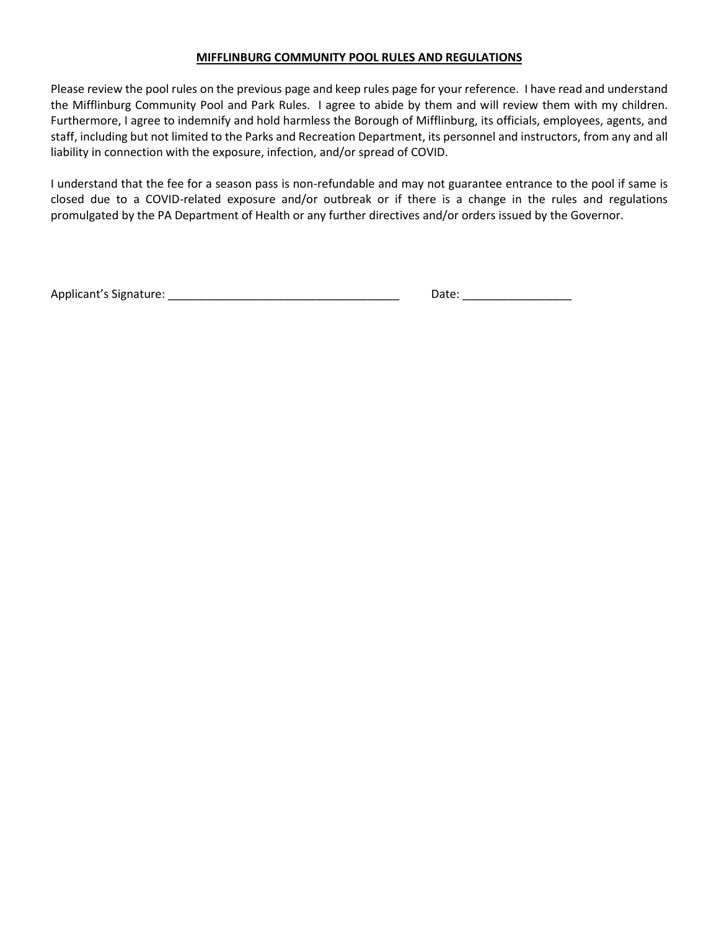#### **MIFFLINBURG COMMUNITY POOL RULES AND REGULATIONS**

Please review the pool rules on the previous page and keep rules page for your reference. I have read and understand the Mifflinburg Community Pool and Park Rules. I agree to abide by them and will review them with my children. Furthermore, I agree to indemnify and hold harmless the Borough of Mifflinburg, its officials, employees, agents, and staff, including but not limited to the Parks and Recreation Department, its personnel and instructors, from any and all liability in connection with the exposure, infection, and/or spread of COVID.

I understand that the fee for a season pass is non-refundable and may not guarantee entrance to the pool if same is closed due to a COVID-related exposure and/or outbreak or if there is a change in the rules and regulations promulgated by the PA Department of Health or any further directives and/or orders issued by the Governor.

Applicant's Signature: \_\_\_\_\_\_\_\_\_\_\_\_\_\_\_\_\_\_\_\_\_\_\_\_\_\_\_\_\_\_\_\_\_\_\_\_ Date: \_\_\_\_\_\_\_\_\_\_\_\_\_\_\_\_\_